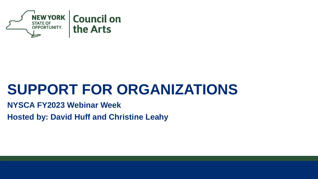

#### **SUPPORT FOR ORGANIZATIONS**

**NYSCA FY2023 Webinar Week**

**Hosted by: David Huff and Christine Leahy**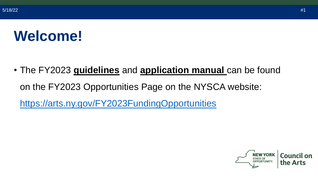#### **Welcome!**

• The FY2023 **guidelines** and **application manual** can be found on the FY2023 Opportunities Page on the NYSCA website: <https://arts.ny.gov/FY2023FundingOpportunities>

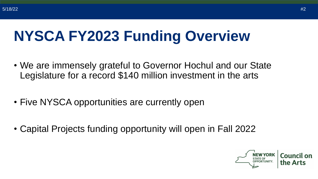# **NYSCA FY2023 Funding Overview**

- We are immensely grateful to Governor Hochul and our State Legislature for a record \$140 million investment in the arts
- Five NYSCA opportunities are currently open
- Capital Projects funding opportunity will open in Fall 2022

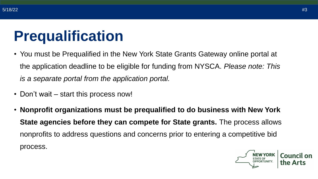### **Prequalification**

- You must be Prequalified in the New York State Grants Gateway online portal at the application deadline to be eligible for funding from NYSCA. *Please note: This is a separate portal from the application portal.*
- Don't wait start this process now!
- **Nonprofit organizations must be prequalified to do business with New York State agencies before they can compete for State grants.** The process allows nonprofits to address questions and concerns prior to entering a competitive bid process.

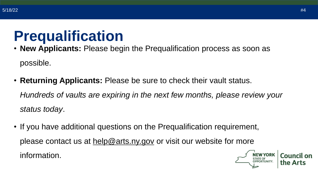#### **Prequalification**

• **New Applicants:** Please begin the Prequalification process as soon as possible.

• **Returning Applicants:** Please be sure to check their vault status. *Hundreds of vaults are expiring in the next few months, please review your* 

*status today*.

• If you have additional questions on the Prequalification requirement, please contact us at [help@arts.ny.gov](mailto:help@arts.ny.gov) or visit our website for more information.

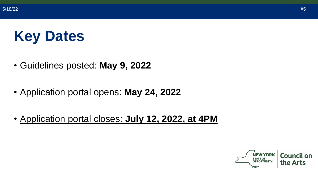## **Key Dates**

- Guidelines posted: **May 9, 2022**
- Application portal opens: **May 24, 2022**
- Application portal closes: **July 12, 2022, at 4PM**

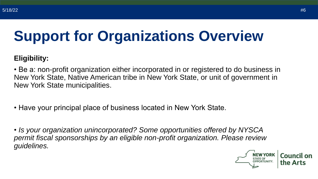# **Support for Organizations Overview**

#### **Eligibility:**

• Be a: non-profit organization either incorporated in or registered to do business in New York State, Native American tribe in New York State, or unit of government in New York State municipalities.

- Have your principal place of business located in New York State.
- *Is your organization unincorporated? Some opportunities offered by NYSCA permit fiscal sponsorships by an eligible non-profit organization. Please review guidelines.*

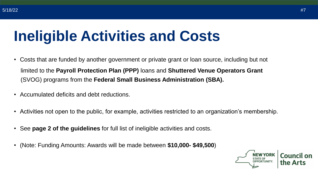#### **Ineligible Activities and Costs**

- Costs that are funded by another government or private grant or loan source, including but not limited to the **Payroll Protection Plan (PPP)** loans and **Shuttered Venue Operators Grant** (SVOG) programs from the **Federal Small Business Administration (SBA).**
- Accumulated deficits and debt reductions.
- Activities not open to the public, for example, activities restricted to an organization's membership.
- See **page 2 of the guidelines** for full list of ineligible activities and costs.
- (Note: Funding Amounts: Awards will be made between **\$10,000- \$49,500**)

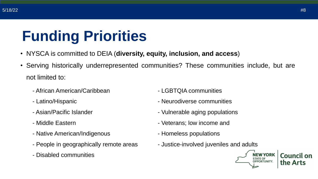## **Funding Priorities**

- NYSCA is committed to DEIA (**diversity, equity, inclusion, and access**)
- Serving historically underrepresented communities? These communities include, but are not limited to:
	- African American/Caribbean
	- Latino/Hispanic
	- Asian/Pacific Islander
	- Middle Eastern
	- Native American/Indigenous
	- People in geographically remote areas
	- Disabled communities
- LGBTQIA communities
- Neurodiverse communities
- Vulnerable aging populations
- Veterans; low income and
- Homeless populations
- Justice-involved juveniles and adults



Council on the Arts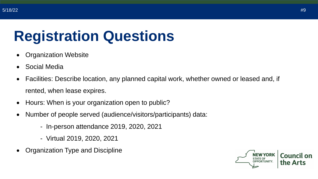# **Registration Questions**

- Organization Website
- Social Media
- Facilities: Describe location, any planned capital work, whether owned or leased and, if rented, when lease expires.
- Hours: When is your organization open to public?
- Number of people served (audience/visitors/participants) data:
	- In-person attendance 2019, 2020, 2021
	- Virtual 2019, 2020, 2021
- Organization Type and Discipline

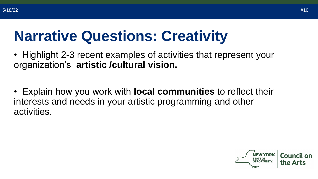#### **Narrative Questions: Creativity**

- Highlight 2-3 recent examples of activities that represent your organization's **artistic /cultural vision.**
- Explain how you work with **local communities** to reflect their interests and needs in your artistic programming and other activities.

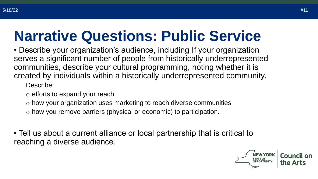#### **Narrative Questions: Public Service**

• Describe your organization's audience, including If your organization serves a significant number of people from historically underrepresented communities, describe your cultural programming, noting whether it is created by individuals within a historically underrepresented community.

Describe:

- o efforts to expand your reach.
- o how your organization uses marketing to reach diverse communities
- o how you remove barriers (physical or economic) to participation.

• Tell us about a current alliance or local partnership that is critical to reaching a diverse audience.

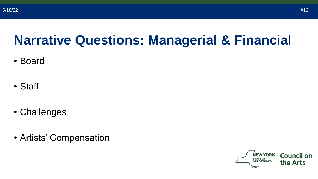#### **Narrative Questions: Managerial & Financial**

- Board
- Staff
- Challenges
- Artists' Compensation

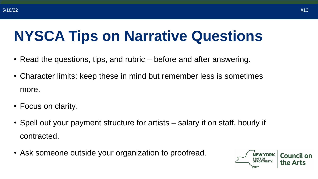### **NYSCA Tips on Narrative Questions**

- Read the questions, tips, and rubric before and after answering.
- Character limits: keep these in mind but remember less is sometimes more.
- Focus on clarity.
- Spell out your payment structure for artists salary if on staff, hourly if contracted.
- Ask someone outside your organization to proofread.

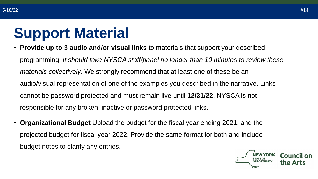### **Support Material**

- **Provide up to 3 audio and/or visual links** to materials that support your described programming. *It should take NYSCA staff/panel no longer than 10 minutes to review these materials collectively*. We strongly recommend that at least one of these be an audio/visual representation of one of the examples you described in the narrative. Links cannot be password protected and must remain live until **12/31/22**. NYSCA is not responsible for any broken, inactive or password protected links.
- **Organizational Budget** Upload the budget for the fiscal year ending 2021, and the projected budget for fiscal year 2022. Provide the same format for both and include budget notes to clarify any entries.

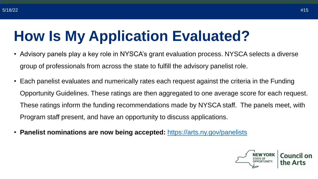## **How Is My Application Evaluated?**

- Advisory panels play a key role in NYSCA's grant evaluation process. NYSCA selects a diverse group of professionals from across the state to fulfill the advisory panelist role.
- Each panelist evaluates and numerically rates each request against the criteria in the Funding Opportunity Guidelines. These ratings are then aggregated to one average score for each request. These ratings inform the funding recommendations made by NYSCA staff. The panels meet, with Program staff present, and have an opportunity to discuss applications.
- **Panelist nominations are now being accepted:** <https://arts.ny.gov/panelists>

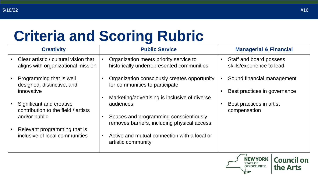## **Criteria and Scoring Rubric**

| <b>Creativity</b>                                                                |           | <b>Public Service</b>                                                                                                                               | <b>Managerial &amp; Financial</b>                                     |
|----------------------------------------------------------------------------------|-----------|-----------------------------------------------------------------------------------------------------------------------------------------------------|-----------------------------------------------------------------------|
| Clear artistic / cultural vision that<br>aligns with organizational mission      |           | Organization meets priority service to<br>historically underrepresented communities                                                                 | Staff and board possess<br>skills/experience to lead                  |
| Programming that is well<br>designed, distinctive, and<br>innovative             |           | Organization consciously creates opportunity<br>for communities to participate                                                                      | Sound financial management<br>Best practices in governance            |
| Significant and creative<br>contribution to the field / artists<br>and/or public |           | Marketing/advertising is inclusive of diverse<br>audiences<br>Spaces and programming conscientiously<br>removes barriers, including physical access | Best practices in artist<br>compensation                              |
| Relevant programming that is<br>inclusive of local communities                   | $\bullet$ | Active and mutual connection with a local or<br>artistic community                                                                                  |                                                                       |
|                                                                                  |           |                                                                                                                                                     | <b>NEW YORK</b><br><b>Council on</b><br><b>PPORTUNITY</b><br>the Arts |

the Arts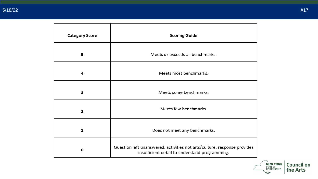| <b>Category Score</b> | <b>Scoring Guide</b>                                                                                                       |  |
|-----------------------|----------------------------------------------------------------------------------------------------------------------------|--|
| 5                     | Meets or exceeds all benchmarks.                                                                                           |  |
| 4                     | Meets most benchmarks.                                                                                                     |  |
| 3                     | Meets some benchmarks.                                                                                                     |  |
| 2                     | Meets few benchmarks.                                                                                                      |  |
| $\mathbf{1}$          | Does not meet any benchmarks.                                                                                              |  |
| O                     | Question left unanswered, activities not arts/culture, response provides<br>insufficient detail to understand programming. |  |

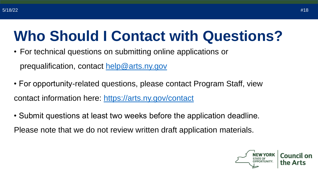#### **Who Should I Contact with Questions?**

• For technical questions on submitting online applications or

prequalification, contact [help@arts.ny.gov](mailto:help@arts.ny.gov)

- For opportunity-related questions, please contact Program Staff, view contact information here:<https://arts.ny.gov/contact>
- Submit questions at least two weeks before the application deadline.

Please note that we do not review written draft application materials.

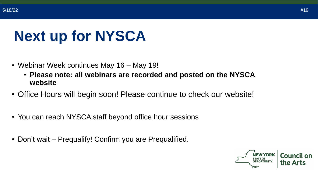### **Next up for NYSCA**

- Webinar Week continues May 16 May 19!
	- **Please note: all webinars are recorded and posted on the NYSCA website**
- Office Hours will begin soon! Please continue to check our website!
- You can reach NYSCA staff beyond office hour sessions
- Don't wait Prequalify! Confirm you are Prequalified.

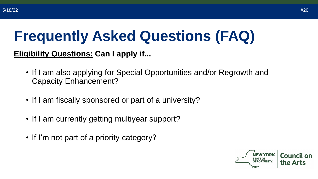## **Frequently Asked Questions (FAQ)**

#### **Eligibility Questions: Can I apply if...**

- If I am also applying for Special Opportunities and/or Regrowth and Capacity Enhancement?
- If I am fiscally sponsored or part of a university?
- If I am currently getting multiyear support?
- If I'm not part of a priority category?

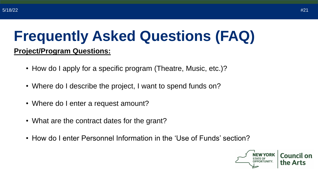#### **Frequently Asked Questions (FAQ)**

#### **Project/Program Questions:**

- How do I apply for a specific program (Theatre, Music, etc.)?
- Where do I describe the project, I want to spend funds on?
- Where do I enter a request amount?
- What are the contract dates for the grant?
- How do I enter Personnel Information in the 'Use of Funds' section?